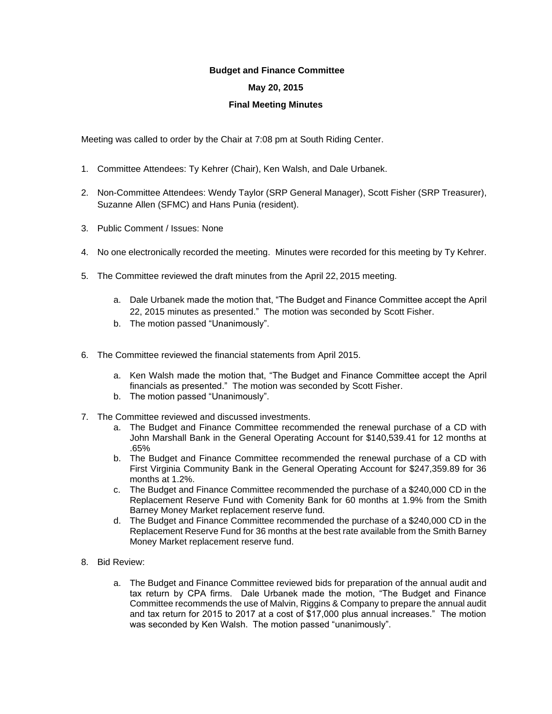## **Budget and Finance Committee**

## **May 20, 2015**

## **Final Meeting Minutes**

Meeting was called to order by the Chair at 7:08 pm at South Riding Center.

- 1. Committee Attendees: Ty Kehrer (Chair), Ken Walsh, and Dale Urbanek.
- 2. Non-Committee Attendees: Wendy Taylor (SRP General Manager), Scott Fisher (SRP Treasurer), Suzanne Allen (SFMC) and Hans Punia (resident).
- 3. Public Comment / Issues: None
- 4. No one electronically recorded the meeting. Minutes were recorded for this meeting by Ty Kehrer.
- 5. The Committee reviewed the draft minutes from the April 22, 2015 meeting.
	- a. Dale Urbanek made the motion that, "The Budget and Finance Committee accept the April 22, 2015 minutes as presented." The motion was seconded by Scott Fisher.
	- b. The motion passed "Unanimously".
- 6. The Committee reviewed the financial statements from April 2015.
	- a. Ken Walsh made the motion that, "The Budget and Finance Committee accept the April financials as presented." The motion was seconded by Scott Fisher.
	- b. The motion passed "Unanimously".
- 7. The Committee reviewed and discussed investments.
	- a. The Budget and Finance Committee recommended the renewal purchase of a CD with John Marshall Bank in the General Operating Account for \$140,539.41 for 12 months at .65%
	- b. The Budget and Finance Committee recommended the renewal purchase of a CD with First Virginia Community Bank in the General Operating Account for \$247,359.89 for 36 months at 1.2%.
	- c. The Budget and Finance Committee recommended the purchase of a \$240,000 CD in the Replacement Reserve Fund with Comenity Bank for 60 months at 1.9% from the Smith Barney Money Market replacement reserve fund.
	- d. The Budget and Finance Committee recommended the purchase of a \$240,000 CD in the Replacement Reserve Fund for 36 months at the best rate available from the Smith Barney Money Market replacement reserve fund.
- 8. Bid Review:
	- a. The Budget and Finance Committee reviewed bids for preparation of the annual audit and tax return by CPA firms. Dale Urbanek made the motion, "The Budget and Finance Committee recommends the use of Malvin, Riggins & Company to prepare the annual audit and tax return for 2015 to 2017 at a cost of \$17,000 plus annual increases." The motion was seconded by Ken Walsh. The motion passed "unanimously".